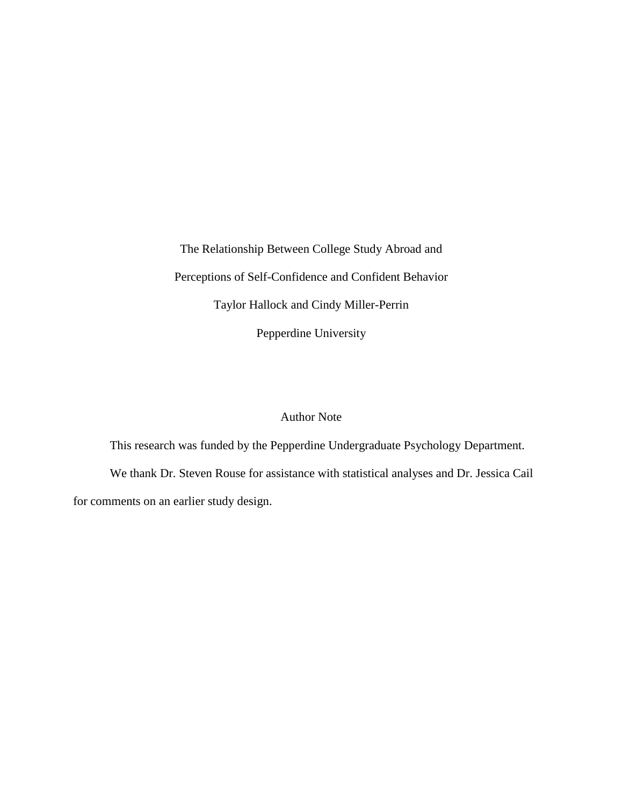The Relationship Between College Study Abroad and Perceptions of Self-Confidence and Confident Behavior Taylor Hallock and Cindy Miller-Perrin Pepperdine University

## Author Note

This research was funded by the Pepperdine Undergraduate Psychology Department. We thank Dr. Steven Rouse for assistance with statistical analyses and Dr. Jessica Cail for comments on an earlier study design.